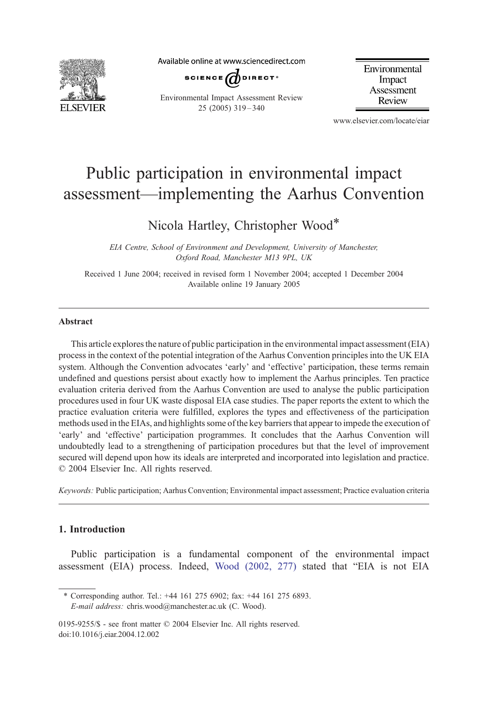

Available online at www.sciencedirect.com



Environmental Impact Assessment Review 25 (2005) 319 – 340

Environmental Impact Assessment Review

www.elsevier.com/locate/eiar

# Public participation in environmental impact assessment—implementing the Aarhus Convention

Nicola Hartley, Christopher Wood\*

EIA Centre, School of Environment and Development, University of Manchester, Oxford Road, Manchester M13 9PL, UK

Received 1 June 2004; received in revised form 1 November 2004; accepted 1 December 2004 Available online 19 January 2005

#### Abstract

This article explores the nature of public participation in the environmental impact assessment (EIA) process in the context of the potential integration of the Aarhus Convention principles into the UK EIA system. Although the Convention advocates 'early' and 'effective' participation, these terms remain undefined and questions persist about exactly how to implement the Aarhus principles. Ten practice evaluation criteria derived from the Aarhus Convention are used to analyse the public participation procedures used in four UK waste disposal EIA case studies. The paper reports the extent to which the practice evaluation criteria were fulfilled, explores the types and effectiveness of the participation methods used in the EIAs, and highlights some of the key barriers that appear to impede the execution of 'early' and 'effective' participation programmes. It concludes that the Aarhus Convention will undoubtedly lead to a strengthening of participation procedures but that the level of improvement secured will depend upon how its ideals are interpreted and incorporated into legislation and practice.  $© 2004 Elsevier Inc. All rights reserved.$ 

Keywords: Public participation; Aarhus Convention; Environmental impact assessment; Practice evaluation criteria

# 1. Introduction

Public participation is a fundamental component of the environmental impact assessment (EIA) process. Indeed, Wood  $(2002, 277)$  stated that "EIA is not EIA

\* Corresponding author. Tel.: +44 161 275 6902; fax: +44 161 275 6893. E-mail address: chris.wood@manchester.ac.uk (C. Wood).

0195-9255/\$ - see front matter © 2004 Elsevier Inc. All rights reserved. doi:10.1016/j.eiar.2004.12.002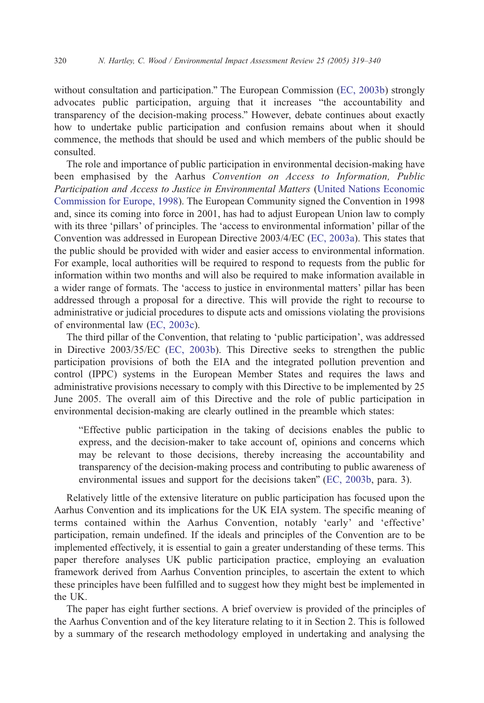without consultation and participation." The European Commission ([EC, 2003b\)](#page-20-0) strongly advocates public participation, arguing that it increases "the accountability and transparency of the decision-making process." However, debate continues about exactly how to undertake public participation and confusion remains about when it should commence, the methods that should be used and which members of the public should be consulted.

The role and importance of public participation in environmental decision-making have been emphasised by the Aarhus Convention on Access to Information, Public Participation and Access to Justice in Environmental Matters [\(United Nations Economic](#page-21-0) Commission for Europe, 1998). The European Community signed the Convention in 1998 and, since its coming into force in 2001, has had to adjust European Union law to comply with its three 'pillars' of principles. The 'access to environmental information' pillar of the Convention was addressed in European Directive 2003/4/EC ([EC, 2003a\)](#page-20-0). This states that the public should be provided with wider and easier access to environmental information. For example, local authorities will be required to respond to requests from the public for information within two months and will also be required to make information available in a wider range of formats. The 'access to justice in environmental matters' pillar has been addressed through a proposal for a directive. This will provide the right to recourse to administrative or judicial procedures to dispute acts and omissions violating the provisions of environmental law [\(EC, 2003c](#page-20-0)).

The third pillar of the Convention, that relating to 'public participation', was addressed in Directive 2003/35/EC [\(EC, 2003b](#page-20-0)). This Directive seeks to strengthen the public participation provisions of both the EIA and the integrated pollution prevention and control (IPPC) systems in the European Member States and requires the laws and administrative provisions necessary to comply with this Directive to be implemented by 25 June 2005. The overall aim of this Directive and the role of public participation in environmental decision-making are clearly outlined in the preamble which states:

bEffective public participation in the taking of decisions enables the public to express, and the decision-maker to take account of, opinions and concerns which may be relevant to those decisions, thereby increasing the accountability and transparency of the decision-making process and contributing to public awareness of environmental issues and support for the decisions taken" ([EC, 2003b,](#page-20-0) para. 3).

Relatively little of the extensive literature on public participation has focused upon the Aarhus Convention and its implications for the UK EIA system. The specific meaning of terms contained within the Aarhus Convention, notably 'early' and 'effective' participation, remain undefined. If the ideals and principles of the Convention are to be implemented effectively, it is essential to gain a greater understanding of these terms. This paper therefore analyses UK public participation practice, employing an evaluation framework derived from Aarhus Convention principles, to ascertain the extent to which these principles have been fulfilled and to suggest how they might best be implemented in the UK.

The paper has eight further sections. A brief overview is provided of the principles of the Aarhus Convention and of the key literature relating to it in Section 2. This is followed by a summary of the research methodology employed in undertaking and analysing the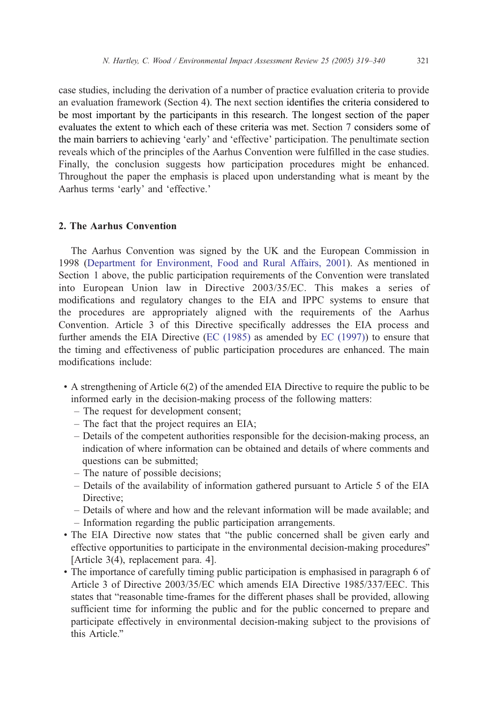case studies, including the derivation of a number of practice evaluation criteria to provide an evaluation framework (Section 4). The next section identifies the criteria considered to be most important by the participants in this research. The longest section of the paper evaluates the extent to which each of these criteria was met. Section 7 considers some of the main barriers to achieving 'early' and 'effective' participation. The penultimate section reveals which of the principles of the Aarhus Convention were fulfilled in the case studies. Finally, the conclusion suggests how participation procedures might be enhanced. Throughout the paper the emphasis is placed upon understanding what is meant by the Aarhus terms 'early' and 'effective.'

## 2. The Aarhus Convention

The Aarhus Convention was signed by the UK and the European Commission in 1998 ([Department for Environment, Food and Rural Affairs, 2001\)](#page-20-0). As mentioned in Section 1 above, the public participation requirements of the Convention were translated into European Union law in Directive 2003/35/EC. This makes a series of modifications and regulatory changes to the EIA and IPPC systems to ensure that the procedures are appropriately aligned with the requirements of the Aarhus Convention. Article 3 of this Directive specifically addresses the EIA process and further amends the EIA Directive (EC  $(1985)$  as amended by EC  $(1997)$ ) to ensure that the timing and effectiveness of public participation procedures are enhanced. The main modifications include:

- ! A strengthening of Article 6(2) of the amended EIA Directive to require the public to be informed early in the decision-making process of the following matters:
	- The request for development consent;
	- The fact that the project requires an EIA;
	- Details of the competent authorities responsible for the decision-making process, an indication of where information can be obtained and details of where comments and questions can be submitted;
	- The nature of possible decisions;
	- Details of the availability of information gathered pursuant to Article 5 of the EIA Directive:
	- Details of where and how and the relevant information will be made available; and
	- Information regarding the public participation arrangements.
- The EIA Directive now states that "the public concerned shall be given early and effective opportunities to participate in the environmental decision-making procedures" [Article 3(4), replacement para. 4].
- ! The importance of carefully timing public participation is emphasised in paragraph 6 of Article 3 of Directive 2003/35/EC which amends EIA Directive 1985/337/EEC. This states that "reasonable time-frames for the different phases shall be provided, allowing sufficient time for informing the public and for the public concerned to prepare and participate effectively in environmental decision-making subject to the provisions of this Article."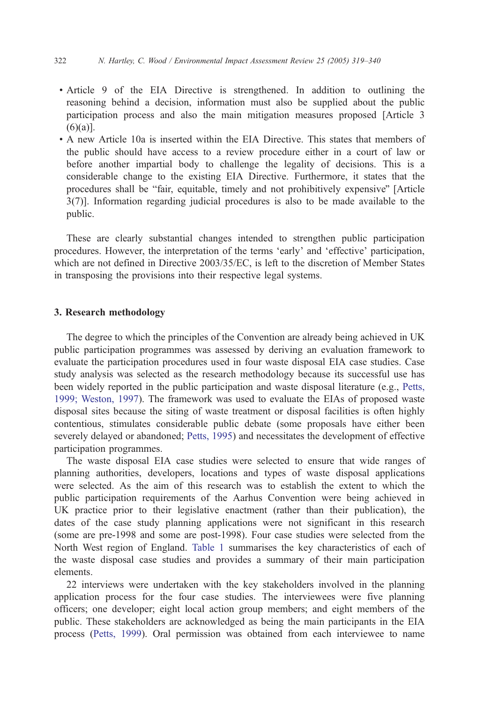- ! Article 9 of the EIA Directive is strengthened. In addition to outlining the reasoning behind a decision, information must also be supplied about the public participation process and also the main mitigation measures proposed [Article 3  $(6)(a)$ ].
- ! A new Article 10a is inserted within the EIA Directive. This states that members of the public should have access to a review procedure either in a court of law or before another impartial body to challenge the legality of decisions. This is a considerable change to the existing EIA Directive. Furthermore, it states that the procedures shall be "fair, equitable, timely and not prohibitively expensive" [Article 3(7)]. Information regarding judicial procedures is also to be made available to the public.

These are clearly substantial changes intended to strengthen public participation procedures. However, the interpretation of the terms 'early' and 'effective' participation, which are not defined in Directive 2003/35/EC, is left to the discretion of Member States in transposing the provisions into their respective legal systems.

#### 3. Research methodology

The degree to which the principles of the Convention are already being achieved in UK public participation programmes was assessed by deriving an evaluation framework to evaluate the participation procedures used in four waste disposal EIA case studies. Case study analysis was selected as the research methodology because its successful use has been widely reported in the public participation and waste disposal literature (e.g., [Petts,](#page-21-0) 1999; Weston, 1997). The framework was used to evaluate the EIAs of proposed waste disposal sites because the siting of waste treatment or disposal facilities is often highly contentious, stimulates considerable public debate (some proposals have either been severely delayed or abandoned; [Petts, 1995](#page-21-0)) and necessitates the development of effective participation programmes.

The waste disposal EIA case studies were selected to ensure that wide ranges of planning authorities, developers, locations and types of waste disposal applications were selected. As the aim of this research was to establish the extent to which the public participation requirements of the Aarhus Convention were being achieved in UK practice prior to their legislative enactment (rather than their publication), the dates of the case study planning applications were not significant in this research (some are pre-1998 and some are post-1998). Four case studies were selected from the North West region of England. [Table 1](#page-4-0) summarises the key characteristics of each of the waste disposal case studies and provides a summary of their main participation elements.

22 interviews were undertaken with the key stakeholders involved in the planning application process for the four case studies. The interviewees were five planning officers; one developer; eight local action group members; and eight members of the public. These stakeholders are acknowledged as being the main participants in the EIA process ([Petts, 1999\)](#page-21-0). Oral permission was obtained from each interviewee to name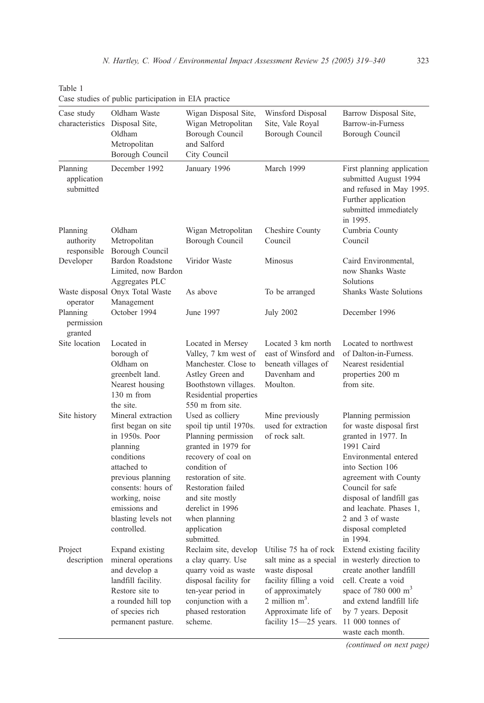|                                      | case statics of public participation in Env praetice                                                                                                                               |                                                                                                                                                                                                                      |                                                                                                                                                                                       |                                                                                                                                                                                                                                       |
|--------------------------------------|------------------------------------------------------------------------------------------------------------------------------------------------------------------------------------|----------------------------------------------------------------------------------------------------------------------------------------------------------------------------------------------------------------------|---------------------------------------------------------------------------------------------------------------------------------------------------------------------------------------|---------------------------------------------------------------------------------------------------------------------------------------------------------------------------------------------------------------------------------------|
| Case study<br>characteristics        | Oldham Waste<br>Disposal Site,<br>Oldham<br>Metropolitan<br>Borough Council                                                                                                        | Wigan Disposal Site,<br>Wigan Metropolitan<br>Borough Council<br>and Salford<br>City Council                                                                                                                         | Winsford Disposal<br>Site, Vale Royal<br>Borough Council                                                                                                                              | Barrow Disposal Site,<br>Barrow-in-Furness<br>Borough Council                                                                                                                                                                         |
| Planning<br>application<br>submitted | December 1992                                                                                                                                                                      | January 1996                                                                                                                                                                                                         | March 1999                                                                                                                                                                            | First planning application<br>submitted August 1994<br>and refused in May 1995.<br>Further application<br>submitted immediately<br>in 1995.                                                                                           |
| Planning<br>authority<br>responsible | Oldham<br>Metropolitan<br>Borough Council                                                                                                                                          | Wigan Metropolitan<br>Borough Council                                                                                                                                                                                | Cheshire County<br>Council                                                                                                                                                            | Cumbria County<br>Council                                                                                                                                                                                                             |
| Developer                            | Bardon Roadstone<br>Limited, now Bardon<br>Aggregates PLC                                                                                                                          | Viridor Waste                                                                                                                                                                                                        | Minosus                                                                                                                                                                               | Caird Environmental,<br>now Shanks Waste<br><b>Solutions</b>                                                                                                                                                                          |
| operator                             | Waste disposal Onyx Total Waste<br>Management                                                                                                                                      | As above                                                                                                                                                                                                             | To be arranged                                                                                                                                                                        | <b>Shanks Waste Solutions</b>                                                                                                                                                                                                         |
| Planning<br>permission<br>granted    | October 1994                                                                                                                                                                       | June 1997                                                                                                                                                                                                            | <b>July 2002</b>                                                                                                                                                                      | December 1996                                                                                                                                                                                                                         |
| Site location                        | Located in<br>borough of<br>Oldham on<br>greenbelt land.<br>Nearest housing<br>130 m from<br>the site.                                                                             | Located in Mersey<br>Valley, 7 km west of<br>Manchester. Close to<br>Astley Green and<br>Boothstown villages.<br>Residential properties<br>550 m from site.                                                          | Located 3 km north<br>east of Winsford and<br>beneath villages of<br>Davenham and<br>Moulton.                                                                                         | Located to northwest<br>of Dalton-in-Furness.<br>Nearest residential<br>properties 200 m<br>from site.                                                                                                                                |
| Site history                         | Mineral extraction<br>first began on site<br>in 1950s. Poor<br>planning<br>conditions<br>attached to<br>previous planning<br>consents: hours of<br>working, noise<br>emissions and | Used as colliery<br>spoil tip until 1970s.<br>Planning permission<br>granted in 1979 for<br>recovery of coal on<br>condition of<br>restoration of site.<br>Restoration failed<br>and site mostly<br>derelict in 1996 | Mine previously<br>used for extraction<br>of rock salt.                                                                                                                               | Planning permission<br>for waste disposal first<br>granted in 1977. In<br>1991 Caird<br>Environmental entered<br>into Section 106<br>agreement with County<br>Council for safe<br>disposal of landfill gas<br>and leachate. Phases 1, |
|                                      | blasting levels not<br>controlled.                                                                                                                                                 | when planning<br>application<br>submitted.                                                                                                                                                                           |                                                                                                                                                                                       | 2 and 3 of waste<br>disposal completed<br>in 1994.                                                                                                                                                                                    |
| Project<br>description               | Expand existing<br>mineral operations<br>and develop a<br>landfill facility.<br>Restore site to<br>a rounded hill top<br>of species rich<br>permanent pasture.                     | Reclaim site, develop<br>a clay quarry. Use<br>quarry void as waste<br>disposal facility for<br>ten-year period in<br>conjunction with a<br>phased restoration<br>scheme.                                            | Utilise 75 ha of rock<br>salt mine as a special<br>waste disposal<br>facility filling a void<br>of approximately<br>2 million $m^3$ .<br>Approximate life of<br>facility 15-25 years. | Extend existing facility<br>in westerly direction to<br>create another landfill<br>cell. Create a void<br>space of 780 000 $m3$<br>and extend landfill life<br>by 7 years. Deposit<br>11 000 tonnes of<br>waste each month.           |

<span id="page-4-0"></span>Table 1 Case studies of public participation in EIA practice

(continued on next page)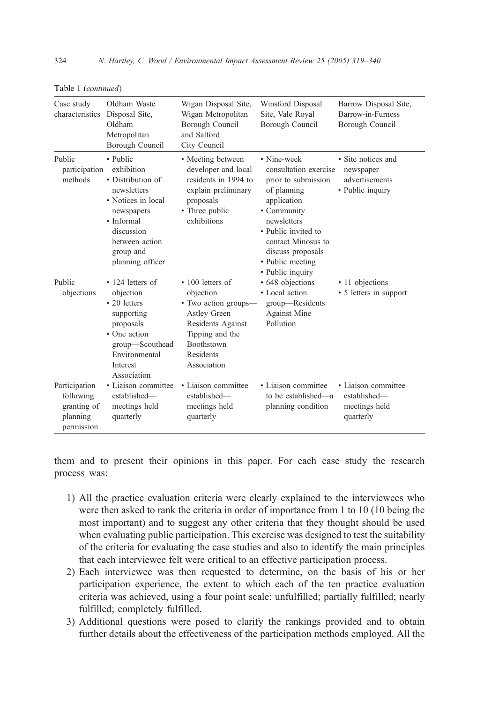| Case study<br>characteristics                                       | Oldham Waste<br>Disposal Site,<br>Oldham<br>Metropolitan<br>Borough Council                                                                                                   | Wigan Disposal Site,<br>Wigan Metropolitan<br>Borough Council<br>and Salford<br>City Council                                                                         | Winsford Disposal<br>Site, Vale Royal<br>Borough Council                                                                                                                                                                          | Barrow Disposal Site,<br>Barrow-in-Furness<br>Borough Council         |
|---------------------------------------------------------------------|-------------------------------------------------------------------------------------------------------------------------------------------------------------------------------|----------------------------------------------------------------------------------------------------------------------------------------------------------------------|-----------------------------------------------------------------------------------------------------------------------------------------------------------------------------------------------------------------------------------|-----------------------------------------------------------------------|
| Public<br>participation<br>methods                                  | • Public<br>exhibition<br>• Distribution of<br>newsletters<br>• Notices in local<br>newspapers<br>• Informal<br>discussion<br>between action<br>group and<br>planning officer | • Meeting between<br>developer and local<br>residents in 1994 to<br>explain preliminary<br>proposals<br>• Three public<br>exhibitions                                | • Nine-week<br>consultation exercise<br>prior to submission<br>of planning<br>application<br>• Community<br>newsletters<br>• Public invited to<br>contact Minosus to<br>discuss proposals<br>• Public meeting<br>• Public inquiry | • Site notices and<br>newspaper<br>advertisements<br>• Public inquiry |
| Public<br>objections                                                | $\cdot$ 124 letters of<br>objection<br>$\cdot$ 20 letters<br>supporting<br>proposals<br>• One action<br>group-Scouthead<br>Environmental<br>Interest<br>Association           | $\cdot$ 100 letters of<br>objection<br>· Two action groups-<br>Astley Green<br>Residents Against<br>Tipping and the<br><b>Boothstown</b><br>Residents<br>Association | • 648 objections<br>• Local action<br>group-Residents<br><b>Against Mine</b><br>Pollution                                                                                                                                         | • 11 objections<br>• 5 letters in support                             |
| Participation<br>following<br>granting of<br>planning<br>permission | • Liaison committee<br>established-<br>meetings held<br>quarterly                                                                                                             | • Liaison committee<br>established-<br>meetings held<br>quarterly                                                                                                    | • Liaison committee<br>to be established—a<br>planning condition                                                                                                                                                                  | • Liaison committee<br>established-<br>meetings held<br>quarterly     |

Table 1 (continued)

them and to present their opinions in this paper. For each case study the research process was:

- 1) All the practice evaluation criteria were clearly explained to the interviewees who were then asked to rank the criteria in order of importance from 1 to 10 (10 being the most important) and to suggest any other criteria that they thought should be used when evaluating public participation. This exercise was designed to test the suitability of the criteria for evaluating the case studies and also to identify the main principles that each interviewee felt were critical to an effective participation process.
- 2) Each interviewee was then requested to determine, on the basis of his or her participation experience, the extent to which each of the ten practice evaluation criteria was achieved, using a four point scale: unfulfilled; partially fulfilled; nearly fulfilled; completely fulfilled.
- 3) Additional questions were posed to clarify the rankings provided and to obtain further details about the effectiveness of the participation methods employed. All the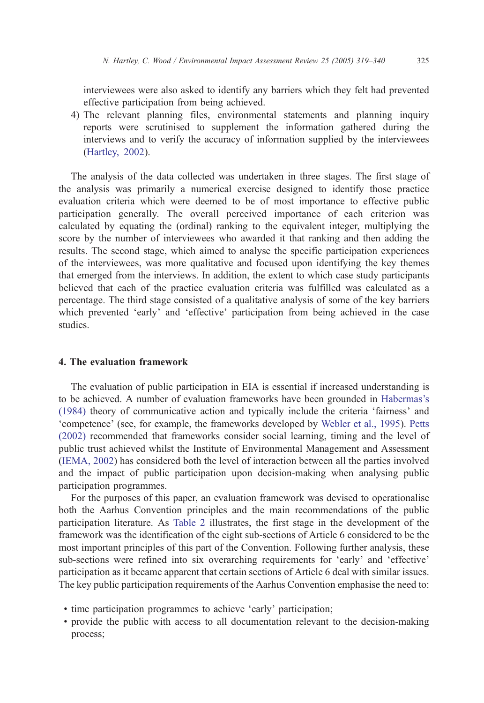interviewees were also asked to identify any barriers which they felt had prevented effective participation from being achieved.

4) The relevant planning files, environmental statements and planning inquiry reports were scrutinised to supplement the information gathered during the interviews and to verify the accuracy of information supplied by the interviewees ([Hartley, 2002\)](#page-21-0).

The analysis of the data collected was undertaken in three stages. The first stage of the analysis was primarily a numerical exercise designed to identify those practice evaluation criteria which were deemed to be of most importance to effective public participation generally. The overall perceived importance of each criterion was calculated by equating the (ordinal) ranking to the equivalent integer, multiplying the score by the number of interviewees who awarded it that ranking and then adding the results. The second stage, which aimed to analyse the specific participation experiences of the interviewees, was more qualitative and focused upon identifying the key themes that emerged from the interviews. In addition, the extent to which case study participants believed that each of the practice evaluation criteria was fulfilled was calculated as a percentage. The third stage consisted of a qualitative analysis of some of the key barriers which prevented 'early' and 'effective' participation from being achieved in the case studies.

# 4. The evaluation framework

The evaluation of public participation in EIA is essential if increased understanding is to be achieved. A number of evaluation frameworks have been grounded in [Habermas's](#page-20-0)  $(1984)$  theory of communicative action and typically include the criteria 'fairness' and 'competence' (see, for example, the frameworks developed by [Webler et al., 1995](#page-21-0)). [Petts](#page-21-0) (2002) recommended that frameworks consider social learning, timing and the level of public trust achieved whilst the Institute of Environmental Management and Assessment [\(IEMA, 2002](#page-21-0)) has considered both the level of interaction between all the parties involved and the impact of public participation upon decision-making when analysing public participation programmes.

For the purposes of this paper, an evaluation framework was devised to operationalise both the Aarhus Convention principles and the main recommendations of the public participation literature. As [Table 2](#page-7-0) illustrates, the first stage in the development of the framework was the identification of the eight sub-sections of Article 6 considered to be the most important principles of this part of the Convention. Following further analysis, these sub-sections were refined into six overarching requirements for 'early' and 'effective' participation as it became apparent that certain sections of Article 6 deal with similar issues. The key public participation requirements of the Aarhus Convention emphasise the need to:

- $\cdot$  time participation programmes to achieve 'early' participation;
- ! provide the public with access to all documentation relevant to the decision-making process;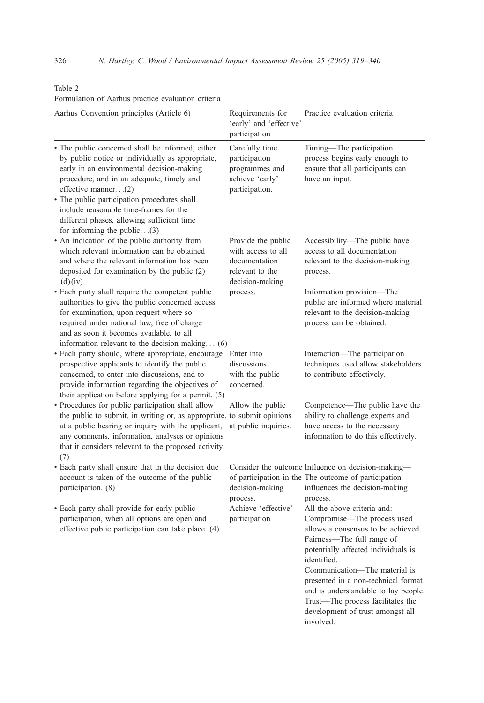| Aarhus Convention principles (Article 6)                                                                                                                                                                                                                                                                                                                                                       | Requirements for<br>'early' and 'effective'<br>participation                                    | Practice evaluation criteria                                                                                                                                                                                                                                                                                                                                                               |
|------------------------------------------------------------------------------------------------------------------------------------------------------------------------------------------------------------------------------------------------------------------------------------------------------------------------------------------------------------------------------------------------|-------------------------------------------------------------------------------------------------|--------------------------------------------------------------------------------------------------------------------------------------------------------------------------------------------------------------------------------------------------------------------------------------------------------------------------------------------------------------------------------------------|
| • The public concerned shall be informed, either<br>by public notice or individually as appropriate,<br>early in an environmental decision-making<br>procedure, and in an adequate, timely and<br>effective manner(2)<br>· The public participation procedures shall<br>include reasonable time-frames for the<br>different phases, allowing sufficient time<br>for informing the public $(3)$ | Carefully time<br>participation<br>programmes and<br>achieve 'early'<br>participation.          | Timing-The participation<br>process begins early enough to<br>ensure that all participants can<br>have an input.                                                                                                                                                                                                                                                                           |
| • An indication of the public authority from<br>which relevant information can be obtained<br>and where the relevant information has been<br>deposited for examination by the public (2)<br>(d)(iv)                                                                                                                                                                                            | Provide the public<br>with access to all<br>documentation<br>relevant to the<br>decision-making | Accessibility-The public have<br>access to all documentation<br>relevant to the decision-making<br>process.                                                                                                                                                                                                                                                                                |
| • Each party shall require the competent public<br>authorities to give the public concerned access<br>for examination, upon request where so<br>required under national law, free of charge<br>and as soon it becomes available, to all<br>information relevant to the decision-making $(6)$                                                                                                   | process.                                                                                        | Information provision-The<br>public are informed where material<br>relevant to the decision-making<br>process can be obtained.                                                                                                                                                                                                                                                             |
| · Each party should, where appropriate, encourage<br>prospective applicants to identify the public<br>concerned, to enter into discussions, and to<br>provide information regarding the objectives of<br>their application before applying for a permit. (5)                                                                                                                                   | Enter into<br>discussions<br>with the public<br>concerned.                                      | Interaction-The participation<br>techniques used allow stakeholders<br>to contribute effectively.                                                                                                                                                                                                                                                                                          |
| · Procedures for public participation shall allow<br>the public to submit, in writing or, as appropriate, to submit opinions<br>at a public hearing or inquiry with the applicant,<br>any comments, information, analyses or opinions<br>that it considers relevant to the proposed activity.<br>(7)                                                                                           | Allow the public<br>at public inquiries.                                                        | Competence—The public have the<br>ability to challenge experts and<br>have access to the necessary<br>information to do this effectively.                                                                                                                                                                                                                                                  |
| · Each party shall ensure that in the decision due<br>account is taken of the outcome of the public<br>participation. (8)                                                                                                                                                                                                                                                                      | decision-making<br>process.                                                                     | Consider the outcome Influence on decision-making-<br>of participation in the The outcome of participation<br>influences the decision-making<br>process.                                                                                                                                                                                                                                   |
| • Each party shall provide for early public<br>participation, when all options are open and<br>effective public participation can take place. (4)                                                                                                                                                                                                                                              | Achieve 'effective'<br>participation                                                            | All the above criteria and:<br>Compromise—The process used<br>allows a consensus to be achieved.<br>Fairness-The full range of<br>potentially affected individuals is<br>identified.<br>Communication—The material is<br>presented in a non-technical format<br>and is understandable to lay people.<br>Trust-The process facilitates the<br>development of trust amongst all<br>involved. |

# <span id="page-7-0"></span>Table 2 Formulation of Aarhus practice evaluation criteria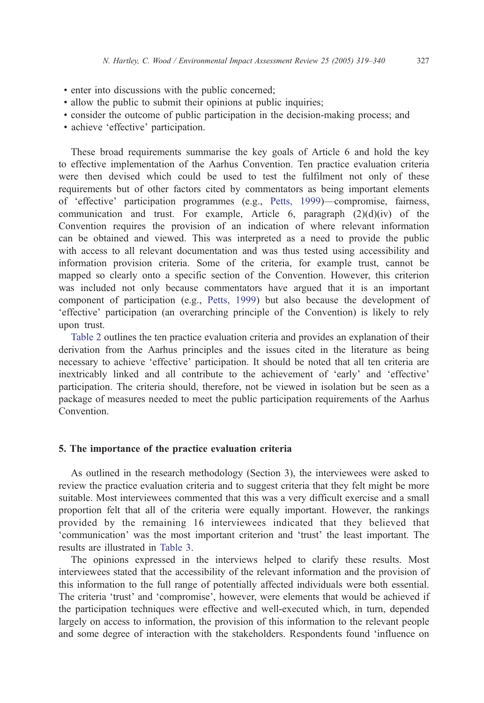- ! enter into discussions with the public concerned;
- ! allow the public to submit their opinions at public inquiries;
- ! consider the outcome of public participation in the decision-making process; and
- achieve 'effective' participation.

These broad requirements summarise the key goals of Article 6 and hold the key to effective implementation of the Aarhus Convention. Ten practice evaluation criteria were then devised which could be used to test the fulfilment not only of these requirements but of other factors cited by commentators as being important elements of 'effective' participation programmes (e.g., [Petts, 1999\)](#page-21-0)—compromise, fairness, communication and trust. For example, Article 6, paragraph  $(2)(d)(iv)$  of the Convention requires the provision of an indication of where relevant information can be obtained and viewed. This was interpreted as a need to provide the public with access to all relevant documentation and was thus tested using accessibility and information provision criteria. Some of the criteria, for example trust, cannot be mapped so clearly onto a specific section of the Convention. However, this criterion was included not only because commentators have argued that it is an important component of participation (e.g., [Petts, 1999\)](#page-21-0) but also because the development of 'effective' participation (an overarching principle of the Convention) is likely to rely upon trust.

[Table 2](#page-7-0) outlines the ten practice evaluation criteria and provides an explanation of their derivation from the Aarhus principles and the issues cited in the literature as being necessary to achieve 'effective' participation. It should be noted that all ten criteria are inextricably linked and all contribute to the achievement of 'early' and 'effective' participation. The criteria should, therefore, not be viewed in isolation but be seen as a package of measures needed to meet the public participation requirements of the Aarhus Convention.

#### 5. The importance of the practice evaluation criteria

As outlined in the research methodology (Section 3), the interviewees were asked to review the practice evaluation criteria and to suggest criteria that they felt might be more suitable. Most interviewees commented that this was a very difficult exercise and a small proportion felt that all of the criteria were equally important. However, the rankings provided by the remaining 16 interviewees indicated that they believed that communication' was the most important criterion and 'trust' the least important. The results are illustrated in [Table 3.](#page-9-0)

The opinions expressed in the interviews helped to clarify these results. Most interviewees stated that the accessibility of the relevant information and the provision of this information to the full range of potentially affected individuals were both essential. The criteria 'trust' and 'compromise', however, were elements that would be achieved if the participation techniques were effective and well-executed which, in turn, depended largely on access to information, the provision of this information to the relevant people and some degree of interaction with the stakeholders. Respondents found 'influence on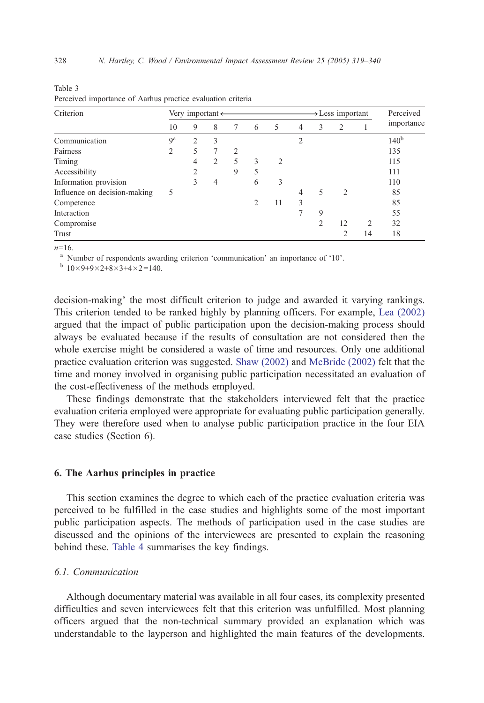| Criterion                    |                | Very important $\leftarrow$ |                |                |                |    |                |                | $\rightarrow$ Less important |                | Perceived        |
|------------------------------|----------------|-----------------------------|----------------|----------------|----------------|----|----------------|----------------|------------------------------|----------------|------------------|
|                              | 10             | 9                           | 8              | 7              | 6              | 5  | $\overline{4}$ | 3              | 2                            |                | importance       |
| Communication                | q <sup>a</sup> | $\overline{2}$              | 3              |                |                |    | $\overline{c}$ |                |                              |                | 140 <sup>b</sup> |
| Fairness                     | $\overline{c}$ | 5                           | 7              | $\overline{2}$ |                |    |                |                |                              |                | 135              |
| Timing                       |                | 4                           | $\overline{c}$ | 5              | 3              | 2  |                |                |                              |                | 115              |
| Accessibility                |                | $\overline{2}$              |                | 9              | 5              |    |                |                |                              |                | 111              |
| Information provision        |                | 3                           | $\overline{4}$ |                | 6              | 3  |                |                |                              |                | 110              |
| Influence on decision-making | 5              |                             |                |                |                |    | 4              | 5              | 2                            |                | 85               |
| Competence                   |                |                             |                |                | $\mathfrak{D}$ | 11 | 3              |                |                              |                | 85               |
| Interaction                  |                |                             |                |                |                |    | 7              | 9              |                              |                | 55               |
| Compromise                   |                |                             |                |                |                |    |                | $\overline{c}$ | 12                           | $\overline{2}$ | 32               |
| Trust                        |                |                             |                |                |                |    |                |                | $\overline{2}$               | 14             | 18               |

|  | Perceived importance of Aarhus practice evaluation criteria |
|--|-------------------------------------------------------------|

 $n=16$ .

<span id="page-9-0"></span>Table 3

<sup>a</sup> Number of respondents awarding criterion 'communication' an importance of '10'. b  $10\times9+9\times2+8\times3+4\times2=140$ .

decision-making' the most difficult criterion to judge and awarded it varying rankings. This criterion tended to be ranked highly by planning officers. For example, [Lea \(2002\)](#page-21-0) argued that the impact of public participation upon the decision-making process should always be evaluated because if the results of consultation are not considered then the whole exercise might be considered a waste of time and resources. Only one additional practice evaluation criterion was suggested. [Shaw \(2002\)](#page-21-0) and [McBride \(2002\)](#page-21-0) felt that the time and money involved in organising public participation necessitated an evaluation of the cost-effectiveness of the methods employed.

These findings demonstrate that the stakeholders interviewed felt that the practice evaluation criteria employed were appropriate for evaluating public participation generally. They were therefore used when to analyse public participation practice in the four EIA case studies (Section 6).

## 6. The Aarhus principles in practice

This section examines the degree to which each of the practice evaluation criteria was perceived to be fulfilled in the case studies and highlights some of the most important public participation aspects. The methods of participation used in the case studies are discussed and the opinions of the interviewees are presented to explain the reasoning behind these. [Table 4](#page-10-0) summarises the key findings.

## 6.1. Communication

Although documentary material was available in all four cases, its complexity presented difficulties and seven interviewees felt that this criterion was unfulfilled. Most planning officers argued that the non-technical summary provided an explanation which was understandable to the layperson and highlighted the main features of the developments.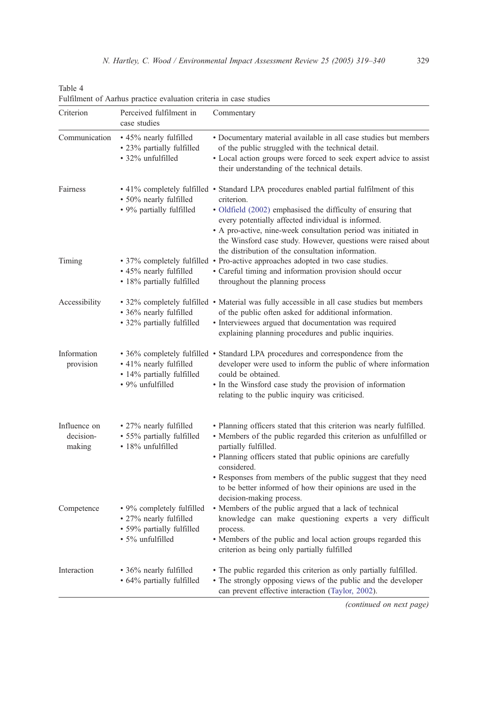| Criterion                           | Perceived fulfilment in<br>case studies                                                              | Commentary                                                                                                                                                                                                                                                                                                                                                                                                          |
|-------------------------------------|------------------------------------------------------------------------------------------------------|---------------------------------------------------------------------------------------------------------------------------------------------------------------------------------------------------------------------------------------------------------------------------------------------------------------------------------------------------------------------------------------------------------------------|
| Communication                       | • 45% nearly fulfilled<br>• 23% partially fulfilled<br>• 32% unfulfilled                             | • Documentary material available in all case studies but members<br>of the public struggled with the technical detail.<br>• Local action groups were forced to seek expert advice to assist<br>their understanding of the technical details.                                                                                                                                                                        |
| Fairness                            | • 50% nearly fulfilled<br>• 9% partially fulfilled                                                   | • 41% completely fulfilled • Standard LPA procedures enabled partial fulfilment of this<br>criterion.<br>· Oldfield (2002) emphasised the difficulty of ensuring that<br>every potentially affected individual is informed.<br>• A pro-active, nine-week consultation period was initiated in<br>the Winsford case study. However, questions were raised about<br>the distribution of the consultation information. |
| Timing                              | • 45% nearly fulfilled<br>• 18% partially fulfilled                                                  | • 37% completely fulfilled • Pro-active approaches adopted in two case studies.<br>· Careful timing and information provision should occur<br>throughout the planning process                                                                                                                                                                                                                                       |
| Accessibility                       | • 36% nearly fulfilled<br>• 32% partially fulfilled                                                  | • 32% completely fulfilled • Material was fully accessible in all case studies but members<br>of the public often asked for additional information.<br>• Interviewees argued that documentation was required<br>explaining planning procedures and public inquiries.                                                                                                                                                |
| Information<br>provision            | • 41% nearly fulfilled<br>• 14% partially fulfilled<br>• 9% unfulfilled                              | • 36% completely fulfilled • Standard LPA procedures and correspondence from the<br>developer were used to inform the public of where information<br>could be obtained.<br>• In the Winsford case study the provision of information<br>relating to the public inquiry was criticised.                                                                                                                              |
| Influence on<br>decision-<br>making | • 27% nearly fulfilled<br>• 55% partially fulfilled<br>• 18% unfulfilled                             | • Planning officers stated that this criterion was nearly fulfilled.<br>• Members of the public regarded this criterion as unfulfilled or<br>partially fulfilled.<br>• Planning officers stated that public opinions are carefully<br>considered.<br>• Responses from members of the public suggest that they need<br>to be better informed of how their opinions are used in the                                   |
| Competence                          | • 9% completely fulfilled<br>• 27% nearly fulfilled<br>• 59% partially fulfilled<br>• 5% unfulfilled | decision-making process.<br>• Members of the public argued that a lack of technical<br>knowledge can make questioning experts a very difficult<br>process.<br>• Members of the public and local action groups regarded this<br>criterion as being only partially fulfilled                                                                                                                                          |
| Interaction                         | • 36% nearly fulfilled<br>• 64% partially fulfilled                                                  | • The public regarded this criterion as only partially fulfilled.<br>• The strongly opposing views of the public and the developer<br>can prevent effective interaction (Taylor, 2002).                                                                                                                                                                                                                             |

Fulfilment of Aarhus practice evaluation criteria in case studies

<span id="page-10-0"></span>Table 4

(continued on next page)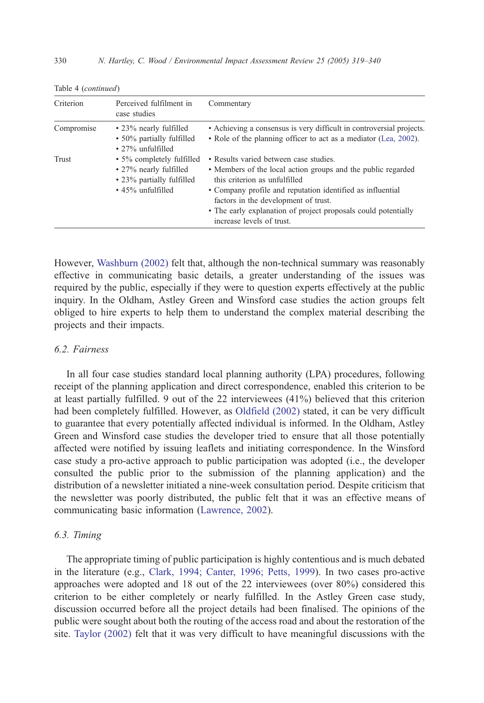| Criterion  | Perceived fulfilment in<br>case studies                                                                     | Commentary                                                                                                                                                                                                                                                                                                                                   |
|------------|-------------------------------------------------------------------------------------------------------------|----------------------------------------------------------------------------------------------------------------------------------------------------------------------------------------------------------------------------------------------------------------------------------------------------------------------------------------------|
| Compromise | • 23% nearly fulfilled<br>• 50% partially fulfilled<br>$\cdot$ 27% unfulfilled                              | • Achieving a consensus is very difficult in controversial projects.<br>• Role of the planning officer to act as a mediator (Lea, 2002).                                                                                                                                                                                                     |
| Trust      | • 5% completely fulfilled<br>• 27% nearly fulfilled<br>• 23% partially fulfilled<br>$\cdot$ 45% unfulfilled | • Results varied between case studies.<br>• Members of the local action groups and the public regarded<br>this criterion as unfulfilled<br>• Company profile and reputation identified as influential<br>factors in the development of trust.<br>• The early explanation of project proposals could potentially<br>increase levels of trust. |

Table 4 (continued)

However, [Washburn \(2002\)](#page-21-0) felt that, although the non-technical summary was reasonably effective in communicating basic details, a greater understanding of the issues was required by the public, especially if they were to question experts effectively at the public inquiry. In the Oldham, Astley Green and Winsford case studies the action groups felt obliged to hire experts to help them to understand the complex material describing the projects and their impacts.

## 6.2. Fairness

In all four case studies standard local planning authority (LPA) procedures, following receipt of the planning application and direct correspondence, enabled this criterion to be at least partially fulfilled. 9 out of the 22 interviewees (41%) believed that this criterion had been completely fulfilled. However, as [Oldfield \(2002\)](#page-21-0) stated, it can be very difficult to guarantee that every potentially affected individual is informed. In the Oldham, Astley Green and Winsford case studies the developer tried to ensure that all those potentially affected were notified by issuing leaflets and initiating correspondence. In the Winsford case study a pro-active approach to public participation was adopted (i.e., the developer consulted the public prior to the submission of the planning application) and the distribution of a newsletter initiated a nine-week consultation period. Despite criticism that the newsletter was poorly distributed, the public felt that it was an effective means of communicating basic information [\(Lawrence, 2002](#page-21-0)).

## 6.3. Timing

The appropriate timing of public participation is highly contentious and is much debated in the literature (e.g., [Clark, 1994; Canter, 1996; Petts, 1999\)](#page-20-0). In two cases pro-active approaches were adopted and 18 out of the 22 interviewees (over 80%) considered this criterion to be either completely or nearly fulfilled. In the Astley Green case study, discussion occurred before all the project details had been finalised. The opinions of the public were sought about both the routing of the access road and about the restoration of the site. [Taylor \(2002\)](#page-21-0) felt that it was very difficult to have meaningful discussions with the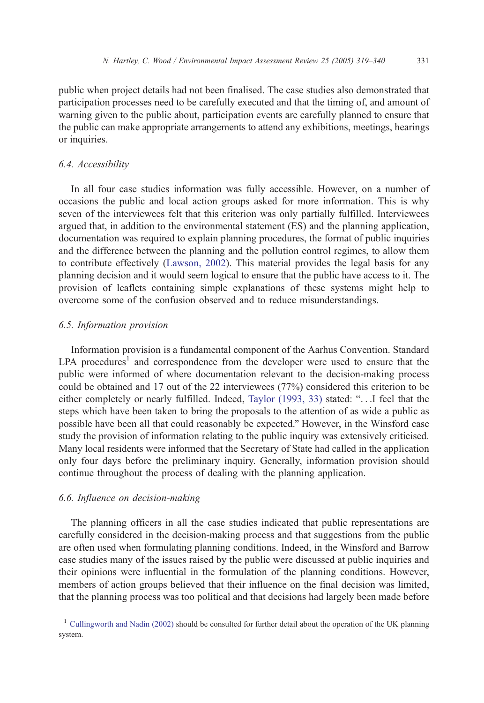public when project details had not been finalised. The case studies also demonstrated that participation processes need to be carefully executed and that the timing of, and amount of warning given to the public about, participation events are carefully planned to ensure that the public can make appropriate arrangements to attend any exhibitions, meetings, hearings or inquiries.

### 6.4. Accessibility

In all four case studies information was fully accessible. However, on a number of occasions the public and local action groups asked for more information. This is why seven of the interviewees felt that this criterion was only partially fulfilled. Interviewees argued that, in addition to the environmental statement (ES) and the planning application, documentation was required to explain planning procedures, the format of public inquiries and the difference between the planning and the pollution control regimes, to allow them to contribute effectively [\(Lawson, 2002](#page-21-0)). This material provides the legal basis for any planning decision and it would seem logical to ensure that the public have access to it. The provision of leaflets containing simple explanations of these systems might help to overcome some of the confusion observed and to reduce misunderstandings.

#### 6.5. Information provision

Information provision is a fundamental component of the Aarhus Convention. Standard  $LPA$  procedures<sup>1</sup> and correspondence from the developer were used to ensure that the public were informed of where documentation relevant to the decision-making process could be obtained and 17 out of the 22 interviewees (77%) considered this criterion to be either completely or nearly fulfilled. Indeed, Taylor  $(1993, 33)$  stated: " $\dots$  I feel that the steps which have been taken to bring the proposals to the attention of as wide a public as possible have been all that could reasonably be expected." However, in the Winsford case study the provision of information relating to the public inquiry was extensively criticised. Many local residents were informed that the Secretary of State had called in the application only four days before the preliminary inquiry. Generally, information provision should continue throughout the process of dealing with the planning application.

## 6.6. Influence on decision-making

The planning officers in all the case studies indicated that public representations are carefully considered in the decision-making process and that suggestions from the public are often used when formulating planning conditions. Indeed, in the Winsford and Barrow case studies many of the issues raised by the public were discussed at public inquiries and their opinions were influential in the formulation of the planning conditions. However, members of action groups believed that their influence on the final decision was limited, that the planning process was too political and that decisions had largely been made before

<sup>&</sup>lt;sup>1</sup> [Cullingworth and Nadin \(2002\)](#page-20-0) should be consulted for further detail about the operation of the UK planning system.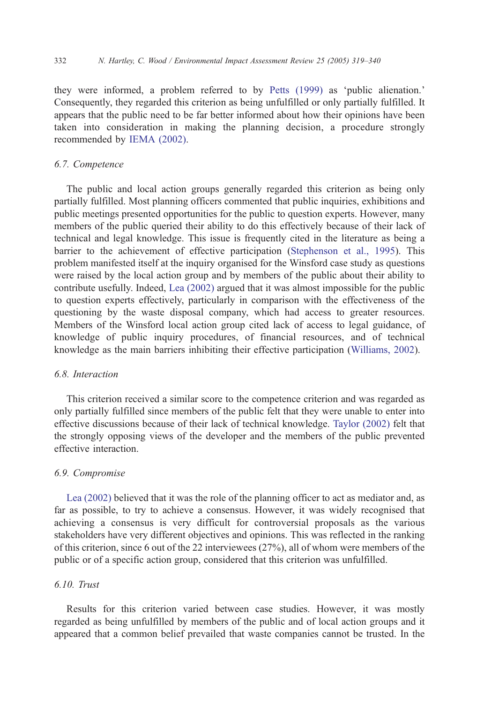they were informed, a problem referred to by [Petts \(1999\)](#page-21-0) as 'public alienation.' Consequently, they regarded this criterion as being unfulfilled or only partially fulfilled. It appears that the public need to be far better informed about how their opinions have been taken into consideration in making the planning decision, a procedure strongly recommended by [IEMA \(2002\)](#page-21-0).

#### 6.7. Competence

The public and local action groups generally regarded this criterion as being only partially fulfilled. Most planning officers commented that public inquiries, exhibitions and public meetings presented opportunities for the public to question experts. However, many members of the public queried their ability to do this effectively because of their lack of technical and legal knowledge. This issue is frequently cited in the literature as being a barrier to the achievement of effective participation [\(Stephenson et al., 1995\)](#page-21-0). This problem manifested itself at the inquiry organised for the Winsford case study as questions were raised by the local action group and by members of the public about their ability to contribute usefully. Indeed, [Lea \(2002\)](#page-21-0) argued that it was almost impossible for the public to question experts effectively, particularly in comparison with the effectiveness of the questioning by the waste disposal company, which had access to greater resources. Members of the Winsford local action group cited lack of access to legal guidance, of knowledge of public inquiry procedures, of financial resources, and of technical knowledge as the main barriers inhibiting their effective participation ([Williams, 2002\)](#page-21-0).

## 6.8. Interaction

This criterion received a similar score to the competence criterion and was regarded as only partially fulfilled since members of the public felt that they were unable to enter into effective discussions because of their lack of technical knowledge. [Taylor \(2002\)](#page-21-0) felt that the strongly opposing views of the developer and the members of the public prevented effective interaction.

#### 6.9. Compromise

[Lea \(2002\)](#page-21-0) believed that it was the role of the planning officer to act as mediator and, as far as possible, to try to achieve a consensus. However, it was widely recognised that achieving a consensus is very difficult for controversial proposals as the various stakeholders have very different objectives and opinions. This was reflected in the ranking of this criterion, since 6 out of the 22 interviewees (27%), all of whom were members of the public or of a specific action group, considered that this criterion was unfulfilled.

## 6.10. Trust

Results for this criterion varied between case studies. However, it was mostly regarded as being unfulfilled by members of the public and of local action groups and it appeared that a common belief prevailed that waste companies cannot be trusted. In the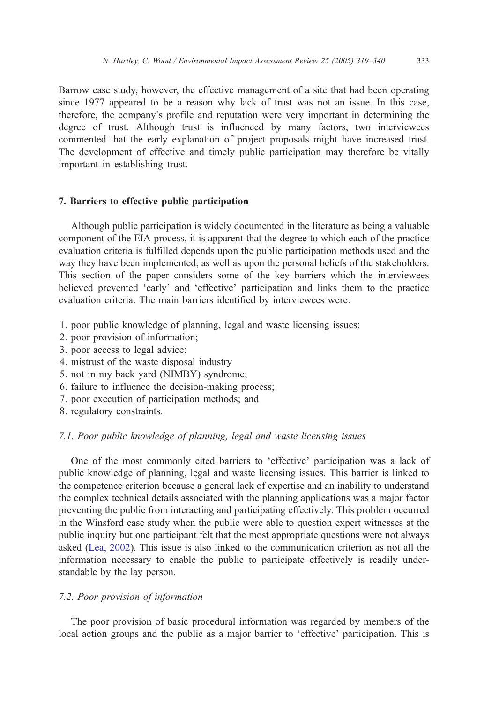Barrow case study, however, the effective management of a site that had been operating since 1977 appeared to be a reason why lack of trust was not an issue. In this case, therefore, the company's profile and reputation were very important in determining the degree of trust. Although trust is influenced by many factors, two interviewees commented that the early explanation of project proposals might have increased trust. The development of effective and timely public participation may therefore be vitally important in establishing trust.

#### 7. Barriers to effective public participation

Although public participation is widely documented in the literature as being a valuable component of the EIA process, it is apparent that the degree to which each of the practice evaluation criteria is fulfilled depends upon the public participation methods used and the way they have been implemented, as well as upon the personal beliefs of the stakeholders. This section of the paper considers some of the key barriers which the interviewees believed prevented 'early' and 'effective' participation and links them to the practice evaluation criteria. The main barriers identified by interviewees were:

- 1. poor public knowledge of planning, legal and waste licensing issues;
- 2. poor provision of information;
- 3. poor access to legal advice;
- 4. mistrust of the waste disposal industry
- 5. not in my back yard (NIMBY) syndrome;
- 6. failure to influence the decision-making process;
- 7. poor execution of participation methods; and
- 8. regulatory constraints.

## 7.1. Poor public knowledge of planning, legal and waste licensing issues

One of the most commonly cited barriers to 'effective' participation was a lack of public knowledge of planning, legal and waste licensing issues. This barrier is linked to the competence criterion because a general lack of expertise and an inability to understand the complex technical details associated with the planning applications was a major factor preventing the public from interacting and participating effectively. This problem occurred in the Winsford case study when the public were able to question expert witnesses at the public inquiry but one participant felt that the most appropriate questions were not always asked ([Lea, 2002\)](#page-21-0). This issue is also linked to the communication criterion as not all the information necessary to enable the public to participate effectively is readily understandable by the lay person.

# 7.2. Poor provision of information

The poor provision of basic procedural information was regarded by members of the local action groups and the public as a major barrier to 'effective' participation. This is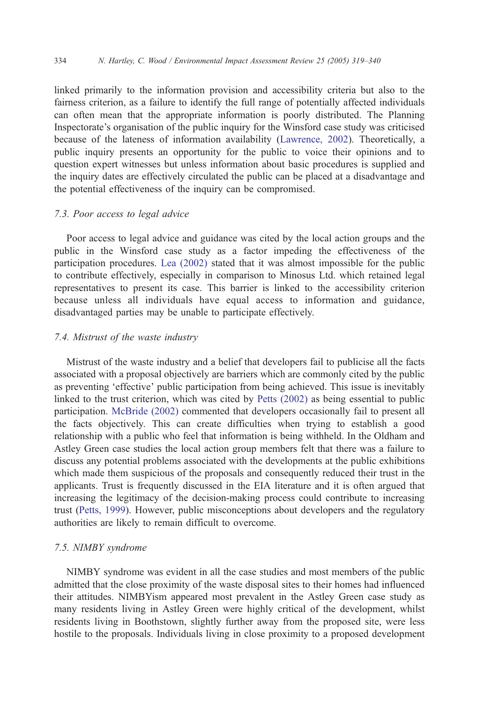linked primarily to the information provision and accessibility criteria but also to the fairness criterion, as a failure to identify the full range of potentially affected individuals can often mean that the appropriate information is poorly distributed. The Planning Inspectorate's organisation of the public inquiry for the Winsford case study was criticised because of the lateness of information availability ([Lawrence, 2002\)](#page-21-0). Theoretically, a public inquiry presents an opportunity for the public to voice their opinions and to question expert witnesses but unless information about basic procedures is supplied and the inquiry dates are effectively circulated the public can be placed at a disadvantage and the potential effectiveness of the inquiry can be compromised.

## 7.3. Poor access to legal advice

Poor access to legal advice and guidance was cited by the local action groups and the public in the Winsford case study as a factor impeding the effectiveness of the participation procedures. [Lea \(2002\)](#page-21-0) stated that it was almost impossible for the public to contribute effectively, especially in comparison to Minosus Ltd. which retained legal representatives to present its case. This barrier is linked to the accessibility criterion because unless all individuals have equal access to information and guidance, disadvantaged parties may be unable to participate effectively.

#### 7.4. Mistrust of the waste industry

Mistrust of the waste industry and a belief that developers fail to publicise all the facts associated with a proposal objectively are barriers which are commonly cited by the public as preventing 'effective' public participation from being achieved. This issue is inevitably linked to the trust criterion, which was cited by [Petts \(2002\)](#page-21-0) as being essential to public participation. [McBride \(2002\)](#page-21-0) commented that developers occasionally fail to present all the facts objectively. This can create difficulties when trying to establish a good relationship with a public who feel that information is being withheld. In the Oldham and Astley Green case studies the local action group members felt that there was a failure to discuss any potential problems associated with the developments at the public exhibitions which made them suspicious of the proposals and consequently reduced their trust in the applicants. Trust is frequently discussed in the EIA literature and it is often argued that increasing the legitimacy of the decision-making process could contribute to increasing trust [\(Petts, 1999](#page-21-0)). However, public misconceptions about developers and the regulatory authorities are likely to remain difficult to overcome.

### 7.5. NIMBY syndrome

NIMBY syndrome was evident in all the case studies and most members of the public admitted that the close proximity of the waste disposal sites to their homes had influenced their attitudes. NIMBYism appeared most prevalent in the Astley Green case study as many residents living in Astley Green were highly critical of the development, whilst residents living in Boothstown, slightly further away from the proposed site, were less hostile to the proposals. Individuals living in close proximity to a proposed development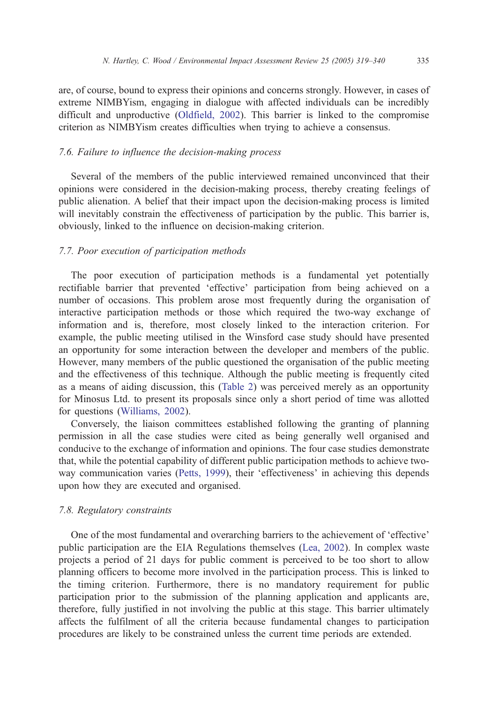are, of course, bound to express their opinions and concerns strongly. However, in cases of extreme NIMBYism, engaging in dialogue with affected individuals can be incredibly difficult and unproductive ([Oldfield, 2002\)](#page-21-0). This barrier is linked to the compromise criterion as NIMBYism creates difficulties when trying to achieve a consensus.

#### 7.6. Failure to influence the decision-making process

Several of the members of the public interviewed remained unconvinced that their opinions were considered in the decision-making process, thereby creating feelings of public alienation. A belief that their impact upon the decision-making process is limited will inevitably constrain the effectiveness of participation by the public. This barrier is, obviously, linked to the influence on decision-making criterion.

## 7.7. Poor execution of participation methods

The poor execution of participation methods is a fundamental yet potentially rectifiable barrier that prevented 'effective' participation from being achieved on a number of occasions. This problem arose most frequently during the organisation of interactive participation methods or those which required the two-way exchange of information and is, therefore, most closely linked to the interaction criterion. For example, the public meeting utilised in the Winsford case study should have presented an opportunity for some interaction between the developer and members of the public. However, many members of the public questioned the organisation of the public meeting and the effectiveness of this technique. Although the public meeting is frequently cited as a means of aiding discussion, this ([Table 2\)](#page-7-0) was perceived merely as an opportunity for Minosus Ltd. to present its proposals since only a short period of time was allotted for questions ([Williams, 2002\)](#page-21-0).

Conversely, the liaison committees established following the granting of planning permission in all the case studies were cited as being generally well organised and conducive to the exchange of information and opinions. The four case studies demonstrate that, while the potential capability of different public participation methods to achieve two-way communication varies ([Petts, 1999\)](#page-21-0), their 'effectiveness' in achieving this depends upon how they are executed and organised.

#### 7.8. Regulatory constraints

One of the most fundamental and overarching barriers to the achievement of 'effective' public participation are the EIA Regulations themselves ([Lea, 2002\)](#page-21-0). In complex waste projects a period of 21 days for public comment is perceived to be too short to allow planning officers to become more involved in the participation process. This is linked to the timing criterion. Furthermore, there is no mandatory requirement for public participation prior to the submission of the planning application and applicants are, therefore, fully justified in not involving the public at this stage. This barrier ultimately affects the fulfilment of all the criteria because fundamental changes to participation procedures are likely to be constrained unless the current time periods are extended.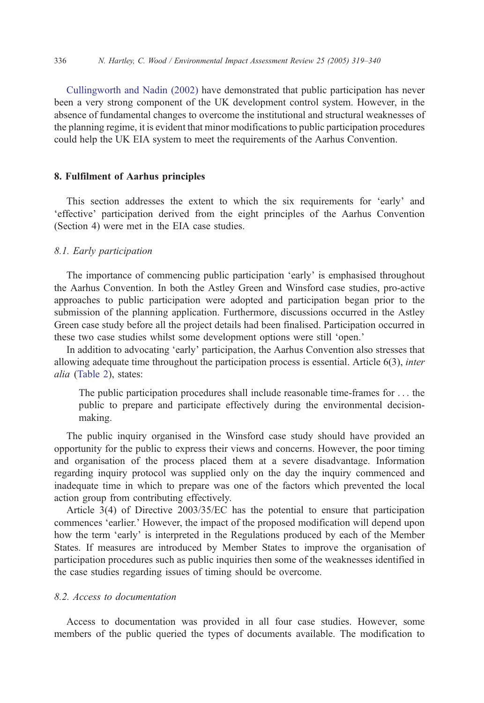[Cullingworth and Nadin \(2002\)](#page-20-0) have demonstrated that public participation has never been a very strong component of the UK development control system. However, in the absence of fundamental changes to overcome the institutional and structural weaknesses of the planning regime, it is evident that minor modifications to public participation procedures could help the UK EIA system to meet the requirements of the Aarhus Convention.

## 8. Fulfilment of Aarhus principles

This section addresses the extent to which the six requirements for 'early' and effective' participation derived from the eight principles of the Aarhus Convention (Section 4) were met in the EIA case studies.

## 8.1. Early participation

The importance of commencing public participation 'early' is emphasised throughout the Aarhus Convention. In both the Astley Green and Winsford case studies, pro-active approaches to public participation were adopted and participation began prior to the submission of the planning application. Furthermore, discussions occurred in the Astley Green case study before all the project details had been finalised. Participation occurred in these two case studies whilst some development options were still 'open.'

In addition to advocating 'early' participation, the Aarhus Convention also stresses that allowing adequate time throughout the participation process is essential. Article  $6(3)$ , *inter* alia ([Table 2\)](#page-7-0), states:

The public participation procedures shall include reasonable time-frames for ... the public to prepare and participate effectively during the environmental decisionmaking.

The public inquiry organised in the Winsford case study should have provided an opportunity for the public to express their views and concerns. However, the poor timing and organisation of the process placed them at a severe disadvantage. Information regarding inquiry protocol was supplied only on the day the inquiry commenced and inadequate time in which to prepare was one of the factors which prevented the local action group from contributing effectively.

Article 3(4) of Directive 2003/35/EC has the potential to ensure that participation commences 'earlier.' However, the impact of the proposed modification will depend upon how the term 'early' is interpreted in the Regulations produced by each of the Member States. If measures are introduced by Member States to improve the organisation of participation procedures such as public inquiries then some of the weaknesses identified in the case studies regarding issues of timing should be overcome.

## 8.2. Access to documentation

Access to documentation was provided in all four case studies. However, some members of the public queried the types of documents available. The modification to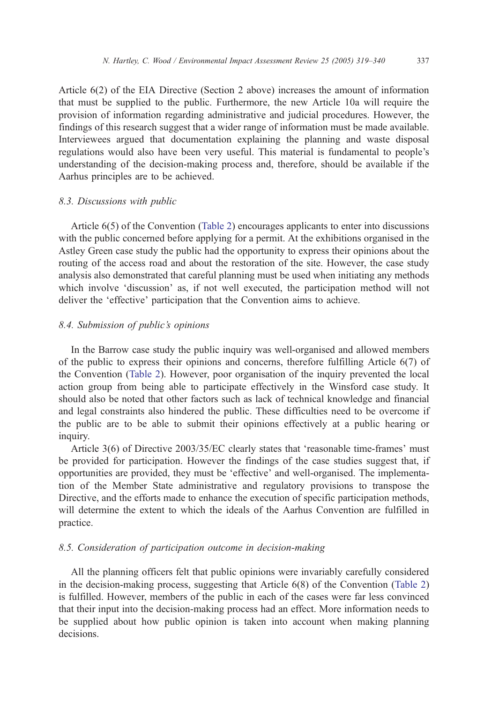Article 6(2) of the EIA Directive (Section 2 above) increases the amount of information that must be supplied to the public. Furthermore, the new Article 10a will require the provision of information regarding administrative and judicial procedures. However, the findings of this research suggest that a wider range of information must be made available. Interviewees argued that documentation explaining the planning and waste disposal regulations would also have been very useful. This material is fundamental to people's understanding of the decision-making process and, therefore, should be available if the Aarhus principles are to be achieved.

#### 8.3. Discussions with public

Article 6(5) of the Convention ([Table 2](#page-7-0)) encourages applicants to enter into discussions with the public concerned before applying for a permit. At the exhibitions organised in the Astley Green case study the public had the opportunity to express their opinions about the routing of the access road and about the restoration of the site. However, the case study analysis also demonstrated that careful planning must be used when initiating any methods which involve 'discussion' as, if not well executed, the participation method will not deliver the 'effective' participation that the Convention aims to achieve.

#### 8.4. Submission of public's opinions

In the Barrow case study the public inquiry was well-organised and allowed members of the public to express their opinions and concerns, therefore fulfilling Article 6(7) of the Convention ([Table 2\)](#page-7-0). However, poor organisation of the inquiry prevented the local action group from being able to participate effectively in the Winsford case study. It should also be noted that other factors such as lack of technical knowledge and financial and legal constraints also hindered the public. These difficulties need to be overcome if the public are to be able to submit their opinions effectively at a public hearing or inquiry.

Article  $3(6)$  of Directive  $2003/35/EC$  clearly states that 'reasonable time-frames' must be provided for participation. However the findings of the case studies suggest that, if opportunities are provided, they must be 'effective' and well-organised. The implementation of the Member State administrative and regulatory provisions to transpose the Directive, and the efforts made to enhance the execution of specific participation methods, will determine the extent to which the ideals of the Aarhus Convention are fulfilled in practice.

# 8.5. Consideration of participation outcome in decision-making

All the planning officers felt that public opinions were invariably carefully considered in the decision-making process, suggesting that Article 6(8) of the Convention ([Table 2\)](#page-7-0) is fulfilled. However, members of the public in each of the cases were far less convinced that their input into the decision-making process had an effect. More information needs to be supplied about how public opinion is taken into account when making planning decisions.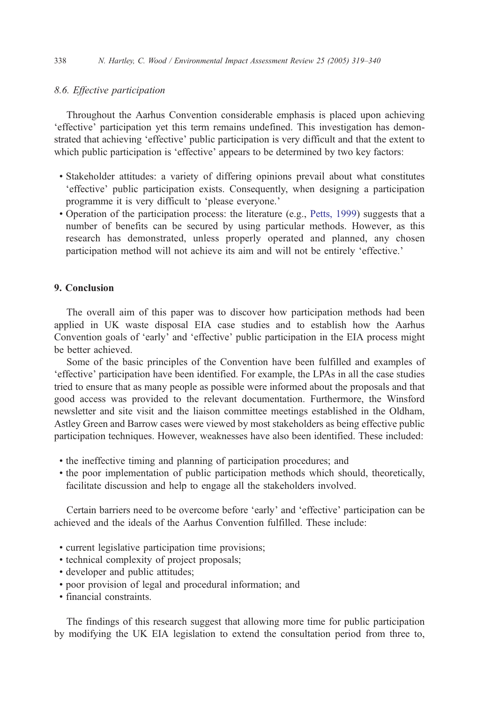## 8.6. Effective participation

Throughout the Aarhus Convention considerable emphasis is placed upon achieving 'effective' participation yet this term remains undefined. This investigation has demonstrated that achieving 'effective' public participation is very difficult and that the extent to which public participation is 'effective' appears to be determined by two key factors:

- ! Stakeholder attitudes: a variety of differing opinions prevail about what constitutes 'effective' public participation exists. Consequently, when designing a participation programme it is very difficult to 'please everyone.'
- ! Operation of the participation process: the literature (e.g., [Petts, 1999](#page-21-0)) suggests that a number of benefits can be secured by using particular methods. However, as this research has demonstrated, unless properly operated and planned, any chosen participation method will not achieve its aim and will not be entirely 'effective.'

## 9. Conclusion

The overall aim of this paper was to discover how participation methods had been applied in UK waste disposal EIA case studies and to establish how the Aarhus Convention goals of 'early' and 'effective' public participation in the EIA process might be better achieved.

Some of the basic principles of the Convention have been fulfilled and examples of 'effective' participation have been identified. For example, the LPAs in all the case studies tried to ensure that as many people as possible were informed about the proposals and that good access was provided to the relevant documentation. Furthermore, the Winsford newsletter and site visit and the liaison committee meetings established in the Oldham, Astley Green and Barrow cases were viewed by most stakeholders as being effective public participation techniques. However, weaknesses have also been identified. These included:

- ! the ineffective timing and planning of participation procedures; and
- ! the poor implementation of public participation methods which should, theoretically, facilitate discussion and help to engage all the stakeholders involved.

Certain barriers need to be overcome before 'early' and 'effective' participation can be achieved and the ideals of the Aarhus Convention fulfilled. These include:

- ! current legislative participation time provisions;
- ! technical complexity of project proposals;
- ! developer and public attitudes;
- ! poor provision of legal and procedural information; and
- $\cdot$  financial constraints.

The findings of this research suggest that allowing more time for public participation by modifying the UK EIA legislation to extend the consultation period from three to,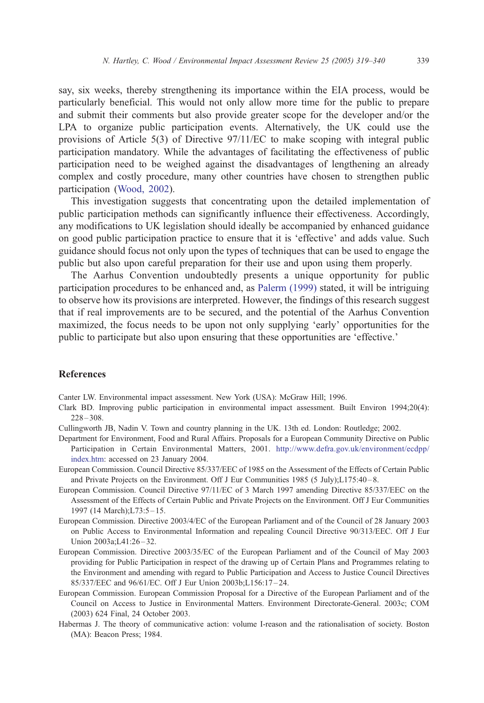<span id="page-20-0"></span>say, six weeks, thereby strengthening its importance within the EIA process, would be particularly beneficial. This would not only allow more time for the public to prepare and submit their comments but also provide greater scope for the developer and/or the LPA to organize public participation events. Alternatively, the UK could use the provisions of Article 5(3) of Directive 97/11/EC to make scoping with integral public participation mandatory. While the advantages of facilitating the effectiveness of public participation need to be weighed against the disadvantages of lengthening an already complex and costly procedure, many other countries have chosen to strengthen public participation [\(Wood, 2002](#page-21-0)).

This investigation suggests that concentrating upon the detailed implementation of public participation methods can significantly influence their effectiveness. Accordingly, any modifications to UK legislation should ideally be accompanied by enhanced guidance on good public participation practice to ensure that it is 'effective' and adds value. Such guidance should focus not only upon the types of techniques that can be used to engage the public but also upon careful preparation for their use and upon using them properly.

The Aarhus Convention undoubtedly presents a unique opportunity for public participation procedures to be enhanced and, as [Palerm \(1999\)](#page-21-0) stated, it will be intriguing to observe how its provisions are interpreted. However, the findings of this research suggest that if real improvements are to be secured, and the potential of the Aarhus Convention maximized, the focus needs to be upon not only supplying 'early' opportunities for the public to participate but also upon ensuring that these opportunities are 'effective.'

#### References

Canter LW. Environmental impact assessment. New York (USA): McGraw Hill; 1996.

- Clark BD. Improving public participation in environmental impact assessment. Built Environ 1994;20(4):  $228 - 308.$
- Cullingworth JB, Nadin V. Town and country planning in the UK. 13th ed. London: Routledge; 2002.
- Department for Environment, Food and Rural Affairs. Proposals for a European Community Directive on Public Participation in Certain Environmental Matters, 2001. [http://www.defra.gov.uk/environment/ecdpp/](http://www.defra.gov.uk/environment/ecdpp/index.htm) index.htm: accessed on 23 January 2004.
- European Commission. Council Directive 85/337/EEC of 1985 on the Assessment of the Effects of Certain Public and Private Projects on the Environment. Off J Eur Communities 1985 (5 July);L175:40 – 8.
- European Commission. Council Directive 97/11/EC of 3 March 1997 amending Directive 85/337/EEC on the Assessment of the Effects of Certain Public and Private Projects on the Environment. Off J Eur Communities 1997 (14 March); L73:5 - 15.
- European Commission. Directive 2003/4/EC of the European Parliament and of the Council of 28 January 2003 on Public Access to Environmental Information and repealing Council Directive 90/313/EEC. Off J Eur Union 2003a:L41:26-32.
- European Commission. Directive 2003/35/EC of the European Parliament and of the Council of May 2003 providing for Public Participation in respect of the drawing up of Certain Plans and Programmes relating to the Environment and amending with regard to Public Participation and Access to Justice Council Directives 85/337/EEC and 96/61/EC. Off J Eur Union 2003b;L156:17 – 24.
- European Commission. European Commission Proposal for a Directive of the European Parliament and of the Council on Access to Justice in Environmental Matters. Environment Directorate-General. 2003c; COM (2003) 624 Final, 24 October 2003.
- Habermas J. The theory of communicative action: volume I-reason and the rationalisation of society. Boston (MA): Beacon Press; 1984.